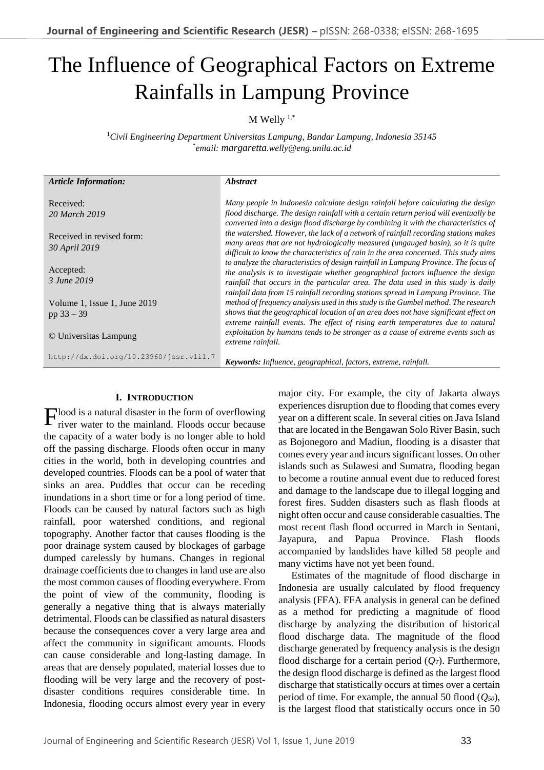# The Influence of Geographical Factors on Extreme Rainfalls in Lampung Province

 $M$  Welly  $1,*$ 

<sup>1</sup>*Civil Engineering Department Universitas Lampung, Bandar Lampung, Indonesia 35145* \* *email: margaretta.welly@eng.unila.ac.id*

| <b>Article Information:</b>                  | <i><b>Abstract</b></i>                                                                                                                                                                                                                                                                                                                            |
|----------------------------------------------|---------------------------------------------------------------------------------------------------------------------------------------------------------------------------------------------------------------------------------------------------------------------------------------------------------------------------------------------------|
| Received:<br>20 March 2019                   | Many people in Indonesia calculate design rainfall before calculating the design<br>flood discharge. The design rainfall with a certain return period will eventually be<br>converted into a design flood discharge by combining it with the characteristics of                                                                                   |
| Received in revised form:<br>30 April 2019   | the watershed. However, the lack of a network of rainfall recording stations makes<br>many areas that are not hydrologically measured (ungauged basin), so it is quite<br>difficult to know the characteristics of rain in the area concerned. This study aims                                                                                    |
| Accepted:<br>3 June 2019                     | to analyze the characteristics of design rainfall in Lampung Province. The focus of<br>the analysis is to investigate whether geographical factors influence the design<br>rainfall that occurs in the particular area. The data used in this study is daily<br>rainfall data from 15 rainfall recording stations spread in Lampung Province. The |
| Volume 1, Issue 1, June 2019<br>pp $33 - 39$ | method of frequency analysis used in this study is the Gumbel method. The research<br>shows that the geographical location of an area does not have significant effect on<br>extreme rainfall events. The effect of rising earth temperatures due to natural                                                                                      |
| © Universitas Lampung                        | exploitation by humans tends to be stronger as a cause of extreme events such as<br>extreme rainfall.                                                                                                                                                                                                                                             |
| http://dx.doi.org/10.23960/jesr.vli1.7       | <b>Keywords:</b> Influence, geographical, factors, extreme, rainfall.                                                                                                                                                                                                                                                                             |

# **I. INTRODUCTION**

 $\Gamma$ lood is a natural disaster in the form of overflowing river water to the mainland. Floods occur because river water to the mainland. Floods occur because the capacity of a water body is no longer able to hold off the passing discharge. Floods often occur in many cities in the world, both in developing countries and developed countries. Floods can be a pool of water that sinks an area. Puddles that occur can be receding inundations in a short time or for a long period of time. Floods can be caused by natural factors such as high rainfall, poor watershed conditions, and regional topography. Another factor that causes flooding is the poor drainage system caused by blockages of garbage dumped carelessly by humans. Changes in regional drainage coefficients due to changes in land use are also the most common causes of flooding everywhere. From the point of view of the community, flooding is generally a negative thing that is always materially detrimental. Floods can be classified as natural disasters because the consequences cover a very large area and affect the community in significant amounts. Floods can cause considerable and long-lasting damage. In areas that are densely populated, material losses due to flooding will be very large and the recovery of postdisaster conditions requires considerable time. In Indonesia, flooding occurs almost every year in every

major city. For example, the city of Jakarta always experiences disruption due to flooding that comes every year on a different scale. In several cities on Java Island that are located in the Bengawan Solo River Basin, such as Bojonegoro and Madiun, flooding is a disaster that comes every year and incurs significant losses. On other islands such as Sulawesi and Sumatra, flooding began to become a routine annual event due to reduced forest and damage to the landscape due to illegal logging and forest fires. Sudden disasters such as flash floods at night often occur and cause considerable casualties. The most recent flash flood occurred in March in Sentani, Jayapura, and Papua Province. Flash floods accompanied by landslides have killed 58 people and many victims have not yet been found.

Estimates of the magnitude of flood discharge in Indonesia are usually calculated by flood frequency analysis (FFA). FFA analysis in general can be defined as a method for predicting a magnitude of flood discharge by analyzing the distribution of historical flood discharge data. The magnitude of the flood discharge generated by frequency analysis is the design flood discharge for a certain period  $(Q_T)$ . Furthermore, the design flood discharge is defined as the largest flood discharge that statistically occurs at times over a certain period of time. For example, the annual 50 flood (*Q50*), is the largest flood that statistically occurs once in 50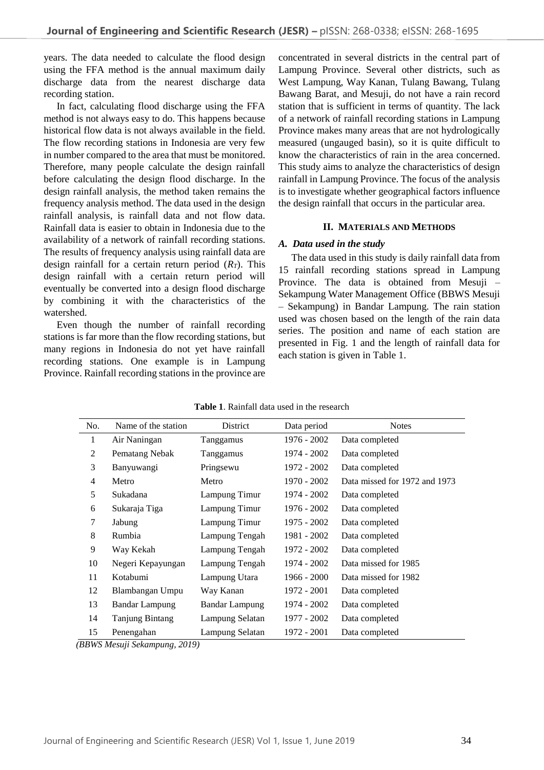years. The data needed to calculate the flood design using the FFA method is the annual maximum daily discharge data from the nearest discharge data recording station.

In fact, calculating flood discharge using the FFA method is not always easy to do. This happens because historical flow data is not always available in the field. The flow recording stations in Indonesia are very few in number compared to the area that must be monitored. Therefore, many people calculate the design rainfall before calculating the design flood discharge. In the design rainfall analysis, the method taken remains the frequency analysis method. The data used in the design rainfall analysis, is rainfall data and not flow data. Rainfall data is easier to obtain in Indonesia due to the availability of a network of rainfall recording stations. The results of frequency analysis using rainfall data are design rainfall for a certain return period  $(R_T)$ . This design rainfall with a certain return period will eventually be converted into a design flood discharge by combining it with the characteristics of the watershed.

Even though the number of rainfall recording stations is far more than the flow recording stations, but many regions in Indonesia do not yet have rainfall recording stations. One example is in Lampung Province. Rainfall recording stations in the province are concentrated in several districts in the central part of Lampung Province. Several other districts, such as West Lampung, Way Kanan, Tulang Bawang, Tulang Bawang Barat, and Mesuji, do not have a rain record station that is sufficient in terms of quantity. The lack of a network of rainfall recording stations in Lampung Province makes many areas that are not hydrologically measured (ungauged basin), so it is quite difficult to know the characteristics of rain in the area concerned. This study aims to analyze the characteristics of design rainfall in Lampung Province. The focus of the analysis is to investigate whether geographical factors influence the design rainfall that occurs in the particular area.

## **II. MATERIALS AND METHODS**

#### *A. Data used in the study*

The data used in this study is daily rainfall data from 15 rainfall recording stations spread in Lampung Province. The data is obtained from Mesuji – Sekampung Water Management Office (BBWS Mesuji – Sekampung) in Bandar Lampung. The rain station used was chosen based on the length of the rain data series. The position and name of each station are presented in Fig. 1 and the length of rainfall data for each station is given in Table 1.

| No.            | Name of the station   | District              | Data period   | <b>Notes</b>                  |
|----------------|-----------------------|-----------------------|---------------|-------------------------------|
| 1              | Air Naningan          | Tanggamus             | 1976 - 2002   | Data completed                |
| 2              | Pematang Nebak        | Tanggamus             | 1974 - 2002   | Data completed                |
| 3              | Banyuwangi            | Pringsewu             | 1972 - 2002   | Data completed                |
| $\overline{4}$ | Metro                 | Metro                 | $1970 - 2002$ | Data missed for 1972 and 1973 |
| 5              | Sukadana              | Lampung Timur         | 1974 - 2002   | Data completed                |
| 6              | Sukaraja Tiga         | Lampung Timur         | 1976 - 2002   | Data completed                |
| 7              | Jabung                | Lampung Timur         | 1975 - 2002   | Data completed                |
| 8              | Rumbia                | Lampung Tengah        | 1981 - 2002   | Data completed                |
| 9              | Way Kekah             | Lampung Tengah        | 1972 - 2002   | Data completed                |
| 10             | Negeri Kepayungan     | Lampung Tengah        | 1974 - 2002   | Data missed for 1985          |
| 11             | Kotabumi              | Lampung Utara         | $1966 - 2000$ | Data missed for 1982          |
| 12             | Blambangan Umpu       | Way Kanan             | 1972 - 2001   | Data completed                |
| 13             | <b>Bandar Lampung</b> | <b>Bandar Lampung</b> | 1974 - 2002   | Data completed                |
| 14             | Tanjung Bintang       | Lampung Selatan       | 1977 - 2002   | Data completed                |
| 15             | Penengahan            | Lampung Selatan       | 1972 - 2001   | Data completed                |

**Table 1**. Rainfall data used in the research

*(BBWS Mesuji Sekampung, 2019)*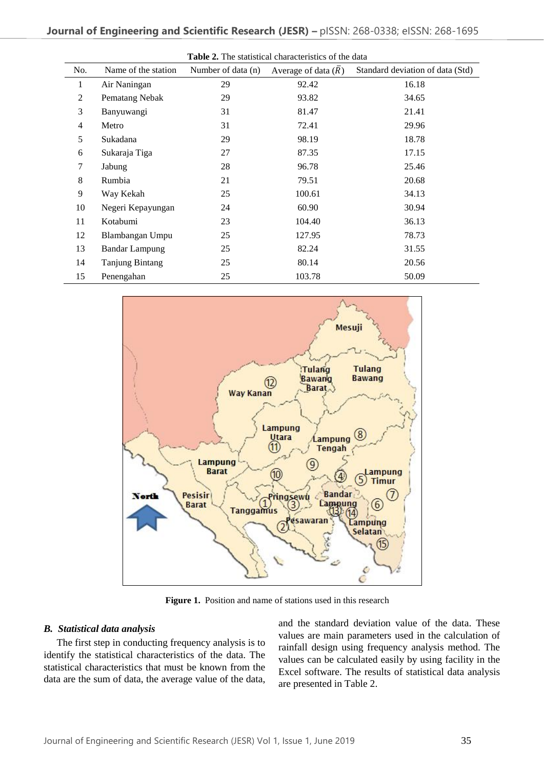| <b>Table 2.</b> The statistical characteristics of the data |                        |                    |                                  |                                  |  |  |
|-------------------------------------------------------------|------------------------|--------------------|----------------------------------|----------------------------------|--|--|
| No.                                                         | Name of the station    | Number of data (n) | Average of data $(\overline{R})$ | Standard deviation of data (Std) |  |  |
| 1                                                           | Air Naningan           | 29                 | 92.42                            | 16.18                            |  |  |
| $\overline{2}$                                              | Pematang Nebak         | 29                 | 93.82                            | 34.65                            |  |  |
| 3                                                           | Banyuwangi             | 31                 | 81.47                            | 21.41                            |  |  |
| 4                                                           | Metro                  | 31                 | 72.41                            | 29.96                            |  |  |
| 5                                                           | Sukadana               | 29                 | 98.19                            | 18.78                            |  |  |
| 6                                                           | Sukaraja Tiga          | 27                 | 87.35                            | 17.15                            |  |  |
| 7                                                           | Jabung                 | 28                 | 96.78                            | 25.46                            |  |  |
| 8                                                           | Rumbia                 | 21                 | 79.51                            | 20.68                            |  |  |
| 9                                                           | Way Kekah              | 25                 | 100.61                           | 34.13                            |  |  |
| 10                                                          | Negeri Kepayungan      | 24                 | 60.90                            | 30.94                            |  |  |
| 11                                                          | Kotabumi               | 23                 | 104.40                           | 36.13                            |  |  |
| 12                                                          | Blambangan Umpu        | 25                 | 127.95                           | 78.73                            |  |  |
| 13                                                          | <b>Bandar Lampung</b>  | 25                 | 82.24                            | 31.55                            |  |  |
| 14                                                          | <b>Tanjung Bintang</b> | 25                 | 80.14                            | 20.56                            |  |  |
| 15                                                          | Penengahan             | 25                 | 103.78                           | 50.09                            |  |  |



**Figure 1.** Position and name of stations used in this research

## *B. Statistical data analysis*

The first step in conducting frequency analysis is to identify the statistical characteristics of the data. The statistical characteristics that must be known from the data are the sum of data, the average value of the data, and the standard deviation value of the data. These values are main parameters used in the calculation of rainfall design using frequency analysis method. The values can be calculated easily by using facility in the Excel software. The results of statistical data analysis are presented in Table 2.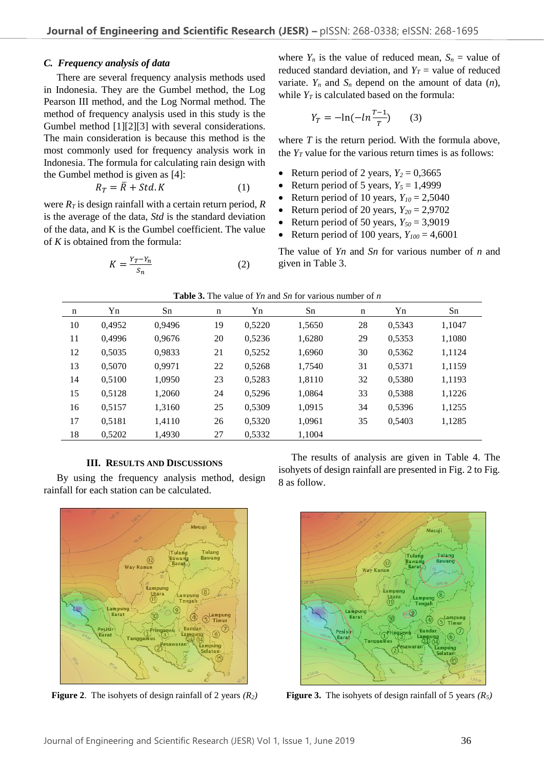## *C. Frequency analysis of data*

There are several frequency analysis methods used in Indonesia. They are the Gumbel method, the Log Pearson III method, and the Log Normal method. The method of frequency analysis used in this study is the Gumbel method [1][2][3] with several considerations. The main consideration is because this method is the most commonly used for frequency analysis work in Indonesia. The formula for calculating rain design with the Gumbel method is given as [4]:

$$
R_T = \overline{R} + Std. K \tag{1}
$$

were *R<sup>T</sup>* is design rainfall with a certain return period, *R* is the average of the data, *Std* is the standard deviation of the data, and K is the Gumbel coefficient. The value of *K* is obtained from the formula:

$$
K = \frac{Y_T - Y_n}{S_n} \tag{2}
$$

where  $Y_n$  is the value of reduced mean,  $S_n$  = value of reduced standard deviation, and  $Y_T$  = value of reduced variate.  $Y_n$  and  $S_n$  depend on the amount of data  $(n)$ , while  $Y_T$  is calculated based on the formula:

$$
Y_T = -\ln(-\ln\frac{T-1}{T})\qquad(3)
$$

where *T* is the return period. With the formula above, the  $Y_T$  value for the various return times is as follows:

- Return period of 2 years,  $Y_2 = 0,3665$
- Return period of 5 years,  $Y_5 = 1,4999$
- Return period of 10 years,  $Y_{10} = 2,5040$
- Return period of 20 years,  $Y_{20} = 2,9702$
- Return period of 50 years,  $Y_{50} = 3,9019$
- Return period of 100 years,  $Y_{100} = 4,6001$

The value of *Yn* and *Sn* for various number of *n* and given in Table 3.

| n  | Yn     | Sn     | n  | Yn     | Sn     | $\mathbf n$ | Yn     | Sn     |
|----|--------|--------|----|--------|--------|-------------|--------|--------|
| 10 | 0,4952 | 0,9496 | 19 | 0,5220 | 1,5650 | 28          | 0,5343 | 1,1047 |
| 11 | 0,4996 | 0,9676 | 20 | 0,5236 | 1,6280 | 29          | 0,5353 | 1,1080 |
| 12 | 0,5035 | 0,9833 | 21 | 0,5252 | 1,6960 | 30          | 0,5362 | 1,1124 |
| 13 | 0,5070 | 0,9971 | 22 | 0,5268 | 1,7540 | 31          | 0,5371 | 1,1159 |
| 14 | 0,5100 | 1,0950 | 23 | 0,5283 | 1,8110 | 32          | 0,5380 | 1,1193 |
| 15 | 0,5128 | 1,2060 | 24 | 0,5296 | 1,0864 | 33          | 0,5388 | 1,1226 |
| 16 | 0,5157 | 1,3160 | 25 | 0,5309 | 1,0915 | 34          | 0,5396 | 1,1255 |
| 17 | 0,5181 | 1,4110 | 26 | 0,5320 | 1,0961 | 35          | 0,5403 | 1,1285 |
| 18 | 0,5202 | 1,4930 | 27 | 0,5332 | 1,1004 |             |        |        |
|    |        |        |    |        |        |             |        |        |

#### **Table 3.** The value of *Yn* and *Sn* for various number of *n*

## **III. RESULTS AND DISCUSSIONS**

By using the frequency analysis method, design rainfall for each station can be calculated.



The results of analysis are given in Table 4. The isohyets of design rainfall are presented in Fig. 2 to Fig. 8 as follow.



**Figure** 2. The isohyets of design rainfall of 2 years  $(R_2)$  **Figure 3.** The isohyets of design rainfall of 5 years  $(R_5)$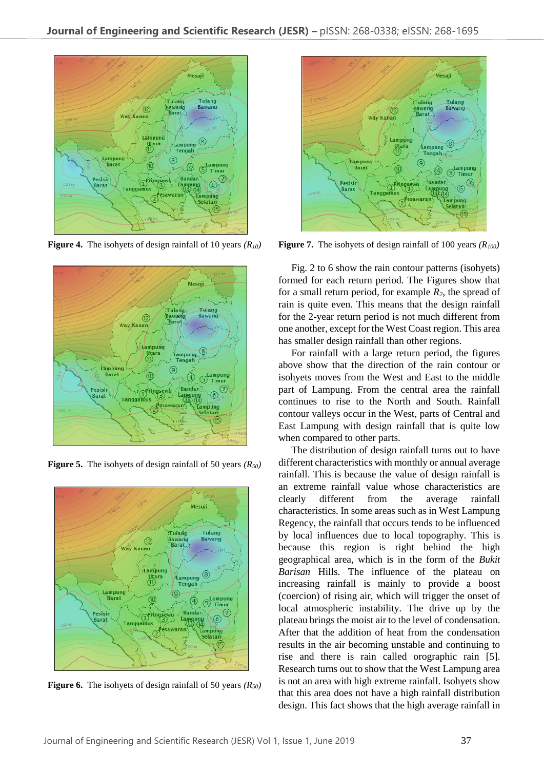

**Figure 4.** The isohyets of design rainfall of 10 years *(R10)*



**Figure 5.** The isohyets of design rainfall of 50 years *(R50)*



**Figure 6.** The isohyets of design rainfall of 50 years *(R50)*



**Figure 7.** The isohyets of design rainfall of 100 years *(R100)*

Fig. 2 to 6 show the rain contour patterns (isohyets) formed for each return period. The Figures show that for a small return period, for example *R2*, the spread of rain is quite even. This means that the design rainfall for the 2-year return period is not much different from one another, except for the West Coast region. This area has smaller design rainfall than other regions.

For rainfall with a large return period, the figures above show that the direction of the rain contour or isohyets moves from the West and East to the middle part of Lampung. From the central area the rainfall continues to rise to the North and South. Rainfall contour valleys occur in the West, parts of Central and East Lampung with design rainfall that is quite low when compared to other parts.

The distribution of design rainfall turns out to have different characteristics with monthly or annual average rainfall. This is because the value of design rainfall is an extreme rainfall value whose characteristics are clearly different from the average rainfall characteristics. In some areas such as in West Lampung Regency, the rainfall that occurs tends to be influenced by local influences due to local topography. This is because this region is right behind the high geographical area, which is in the form of the *Bukit Barisan* Hills. The influence of the plateau on increasing rainfall is mainly to provide a boost (coercion) of rising air, which will trigger the onset of local atmospheric instability. The drive up by the plateau brings the moist air to the level of condensation. After that the addition of heat from the condensation results in the air becoming unstable and continuing to rise and there is rain called orographic rain [5]. Research turns out to show that the West Lampung area is not an area with high extreme rainfall. Isohyets show that this area does not have a high rainfall distribution design. This fact shows that the high average rainfall in